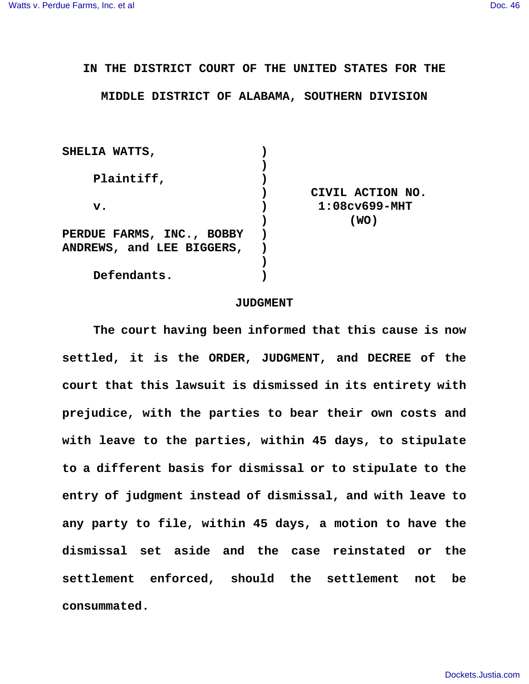**IN THE DISTRICT COURT OF THE UNITED STATES FOR THE**

**MIDDLE DISTRICT OF ALABAMA, SOUTHERN DIVISION**

| SHELIA WATTS,             |                  |
|---------------------------|------------------|
|                           |                  |
| Plaintiff,                |                  |
|                           | CIVIL ACTION NO. |
| $\mathbf{v}$ .            | $1:08cv699-MHT$  |
|                           | (WO)             |
| PERDUE FARMS, INC., BOBBY |                  |
| ANDREWS, and LEE BIGGERS, |                  |
|                           |                  |
| Defendants.               |                  |

## **JUDGMENT**

**The court having been informed that this cause is now settled, it is the ORDER, JUDGMENT, and DECREE of the court that this lawsuit is dismissed in its entirety with prejudice, with the parties to bear their own costs and with leave to the parties, within 45 days, to stipulate to a different basis for dismissal or to stipulate to the entry of judgment instead of dismissal, and with leave to any party to file, within 45 days, a motion to have the dismissal set aside and the case reinstated or the settlement enforced, should the settlement not be consummated.**